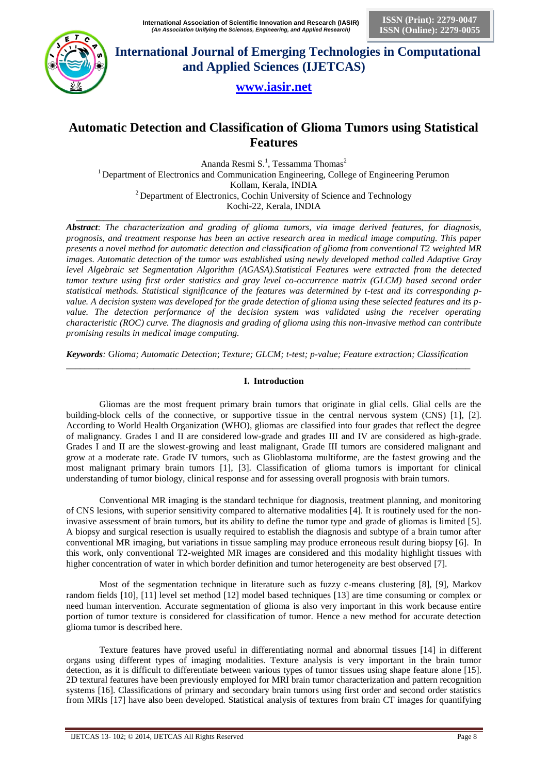

**ISSN (Print): 2279-0047 ISSN (Online): 2279-0055**

 **International Journal of Emerging Technologies in Computational and Applied Sciences (IJETCAS)**

# **www.iasir.net**

# **Automatic Detection and Classification of Glioma Tumors using Statistical Features**

Ananda Resmi S.<sup>1</sup>, Tessamma Thomas<sup>2</sup> <sup>1</sup> Department of Electronics and Communication Engineering, College of Engineering Perumon Kollam, Kerala, INDIA  $2$  Department of Electronics, Cochin University of Science and Technology Kochi-22, Kerala, INDIA

\_\_\_\_\_\_\_\_\_\_\_\_\_\_\_\_\_\_\_\_\_\_\_\_\_\_\_\_\_\_\_\_\_\_\_\_\_\_\_\_\_\_\_\_\_\_\_\_\_\_\_\_\_\_\_\_\_\_\_\_\_\_\_\_\_\_\_\_\_\_\_\_\_\_\_\_\_\_\_\_\_\_\_\_\_\_ *Abstract*: *The characterization and grading of glioma tumors, via image derived features, for diagnosis, prognosis, and treatment response has been an active research area in medical image computing. This paper presents a novel method for automatic detection and classification of glioma from conventional T2 weighted MR images. Automatic detection of the tumor was established using newly developed method called Adaptive Gray level Algebraic set Segmentation Algorithm (AGASA).Statistical Features were extracted from the detected tumor texture using first order statistics and gray level co-occurrence matrix (GLCM) based second order statistical methods. Statistical significance of the features was determined by t-test and its corresponding pvalue. A decision system was developed for the grade detection of glioma using these selected features and its pvalue. The detection performance of the decision system was validated using the receiver operating characteristic (ROC) curve. The diagnosis and grading of glioma using this non-invasive method can contribute promising results in medical image computing.* 

*Keywords:* G*lioma; Automatic Detection*; *Texture; GLCM; t-test; p-value; Feature extraction; Classification \_\_\_\_\_\_\_\_\_\_\_\_\_\_\_\_\_\_\_\_\_\_\_\_\_\_\_\_\_\_\_\_\_\_\_\_\_\_\_\_\_\_\_\_\_\_\_\_\_\_\_\_\_\_\_\_\_\_\_\_\_\_\_\_\_\_\_\_\_\_\_\_\_\_\_\_\_\_\_\_\_\_\_\_\_\_\_\_*

# **I. Introduction**

Gliomas are the most frequent primary brain tumors that originate in glial cells. Glial cells are the building-block cells of the connective, or supportive tissue in the central nervous system (CNS) [1], [2]. According to World Health Organization (WHO), gliomas are classified into four grades that reflect the degree of malignancy. Grades I and II are considered low-grade and grades III and IV are considered as high-grade. Grades I and II are the slowest-growing and least malignant, Grade III tumors are considered malignant and grow at a moderate rate. Grade IV tumors, such as Glioblastoma multiforme, are the fastest growing and the most malignant primary brain tumors [1], [3]. Classification of glioma tumors is important for clinical understanding of tumor biology, clinical response and for assessing overall prognosis with brain tumors.

Conventional MR imaging is the standard technique for diagnosis, treatment planning, and monitoring of CNS lesions, with superior sensitivity compared to alternative modalities [4]. It is routinely used for the noninvasive assessment of brain tumors, but its ability to define the tumor type and grade of gliomas is limited [5]. A biopsy and surgical resection is usually required to establish the diagnosis and subtype of a brain tumor after conventional MR imaging, but variations in tissue sampling may produce erroneous result during biopsy [6]. In this work, only conventional T2-weighted MR images are considered and this modality highlight tissues with higher concentration of water in which border definition and tumor heterogeneity are best observed [7].

Most of the segmentation technique in literature such as fuzzy c-means clustering [8], [9], Markov random fields [10], [11] level set method [12] model based techniques [13] are time consuming or complex or need human intervention. Accurate segmentation of glioma is also very important in this work because entire portion of tumor texture is considered for classification of tumor. Hence a new method for accurate detection glioma tumor is described here.

Texture features have proved useful in differentiating normal and abnormal tissues [14] in different organs using different types of imaging modalities. Texture analysis is very important in the brain tumor detection, as it is difficult to differentiate between various types of tumor tissues using shape feature alone [15]. 2D textural features have been previously employed for MRI brain tumor characterization and pattern recognition systems [16]. Classifications of primary and secondary brain tumors using first order and second order statistics from MRIs [17] have also been developed. Statistical analysis of textures from brain CT images for quantifying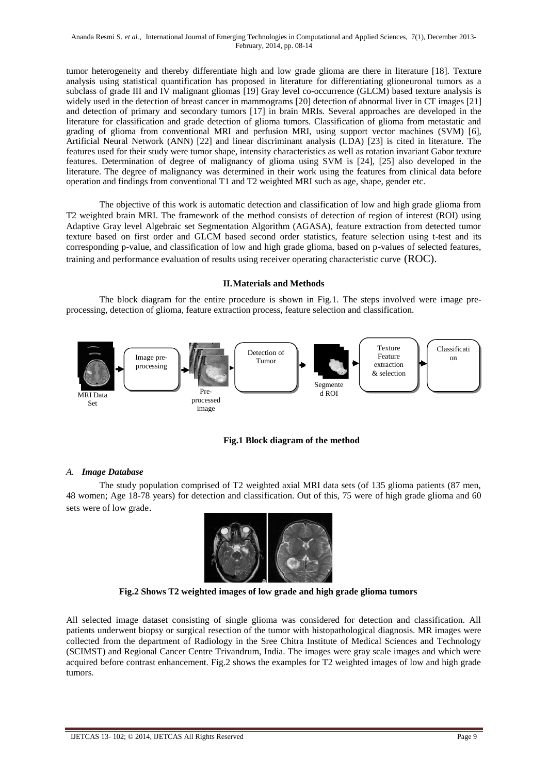tumor heterogeneity and thereby differentiate high and low grade glioma are there in literature [18]. Texture analysis using statistical quantification has proposed in literature for differentiating glioneuronal tumors as a subclass of grade III and IV malignant gliomas [19] Gray level co-occurrence (GLCM) based texture analysis is widely used in the detection of breast cancer in mammograms [20] detection of abnormal liver in CT images [21] and detection of primary and secondary tumors [17] in brain MRIs. Several approaches are developed in the literature for classification and grade detection of glioma tumors. Classification of glioma from metastatic and grading of glioma from conventional MRI and perfusion MRI, using support vector machines (SVM) [6], Artificial Neural Network (ANN) [22] and linear discriminant analysis (LDA) [23] is cited in literature. The features used for their study were tumor shape, intensity characteristics as well as rotation invariant Gabor texture features. Determination of degree of malignancy of glioma using SVM is [24], [25] also developed in the literature. The degree of malignancy was determined in their work using the features from clinical data before operation and findings from conventional T1 and T2 weighted MRI such as age, shape, gender etc.

The objective of this work is automatic detection and classification of low and high grade glioma from T2 weighted brain MRI. The framework of the method consists of detection of region of interest (ROI) using Adaptive Gray level Algebraic set Segmentation Algorithm (AGASA), feature extraction from detected tumor texture based on first order and GLCM based second order statistics, feature selection using t-test and its corresponding p-value, and classification of low and high grade glioma, based on p-values of selected features, training and performance evaluation of results using receiver operating characteristic curve (ROC).

## **II.Materials and Methods**

The block diagram for the entire procedure is shown in Fig.1. The steps involved were image preprocessing, detection of glioma, feature extraction process, feature selection and classification.



# **Fig.1 Block diagram of the method**

### *A. Image Database*

The study population comprised of T2 weighted axial MRI data sets (of 135 glioma patients (87 men, 48 women; Age 18-78 years) for detection and classification. Out of this, 75 were of high grade glioma and 60 sets were of low grade.



**e Fig.2 Shows T2 weighted images of low grade and high grade glioma tumors** 

All selected image dataset consisting of single glioma was considered for detection and classification. All patients underwent biopsy or surgical resection of the tumor with histopathological diagnosis. MR images were collected from the department of Radiology in the Sree Chitra Institute of Medical Sciences and Technology (SCIMST) and Regional Cancer Centre Trivandrum, India. The images were gray scale images and which were acquired before contrast enhancement. Fig.2 shows the examples for T2 weighted images of low and high grade tumors.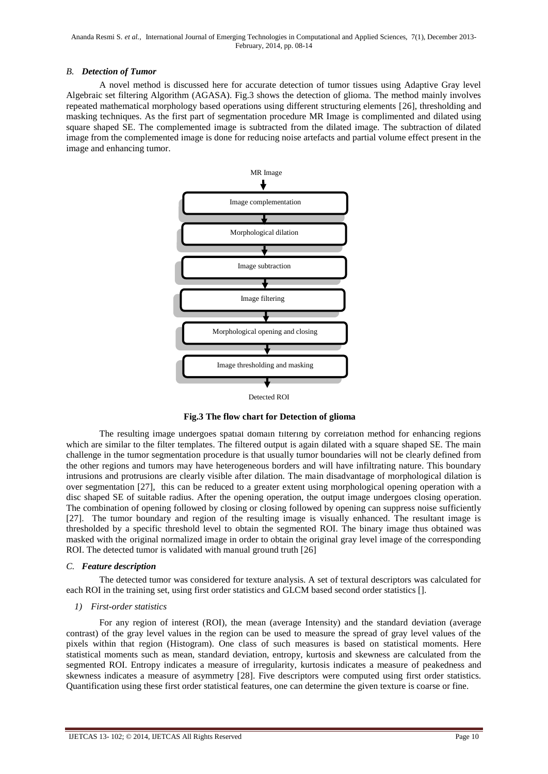### *B. Detection of Tumor*

A novel method is discussed here for accurate detection of tumor tissues using Adaptive Gray level Algebraic set filtering Algorithm (AGASA). Fig.3 shows the detection of glioma. The method mainly involves repeated mathematical morphology based operations using different structuring elements [26], thresholding and masking techniques. As the first part of segmentation procedure MR Image is complimented and dilated using square shaped SE. The complemented image is subtracted from the dilated image. The subtraction of dilated image from the complemented image is done for reducing noise artefacts and partial volume effect present in the image and enhancing tumor.



Detected ROI

**Fig.3 The flow chart for Detection of glioma**

The resulting image undergoes spatial domain filtering by correlation method for enhancing regions which are similar to the filter templates. The filtered output is again dilated with a square shaped SE. The main challenge in the tumor segmentation procedure is that usually tumor boundaries will not be clearly defined from the other regions and tumors may have heterogeneous borders and will have infiltrating nature. This boundary intrusions and protrusions are clearly visible after dilation. The main disadvantage of morphological dilation is over segmentation [27], this can be reduced to a greater extent using morphological opening operation with a disc shaped SE of suitable radius. After the opening operation, the output image undergoes closing operation. The combination of opening followed by closing or closing followed by opening can suppress noise sufficiently [27]. The tumor boundary and region of the resulting image is visually enhanced. The resultant image is thresholded by a specific threshold level to obtain the segmented ROI. The binary image thus obtained was masked with the original normalized image in order to obtain the original gray level image of the corresponding ROI. The detected tumor is validated with manual ground truth [26]

### *C. Feature description*

The detected tumor was considered for texture analysis. A set of textural descriptors was calculated for each ROI in the training set, using first order statistics and GLCM based second order statistics [].

### *1) First-order statistics*

For any region of interest (ROI), the mean (average Intensity) and the standard deviation (average contrast) of the gray level values in the region can be used to measure the spread of gray level values of the pixels within that region (Histogram). One class of such measures is based on statistical moments. Here statistical moments such as mean, standard deviation, entropy, kurtosis and skewness are calculated from the segmented ROI. Entropy indicates a measure of irregularity, kurtosis indicates a measure of peakedness and skewness indicates a measure of asymmetry [28]. Five descriptors were computed using first order statistics. Quantification using these first order statistical features, one can determine the given texture is coarse or fine.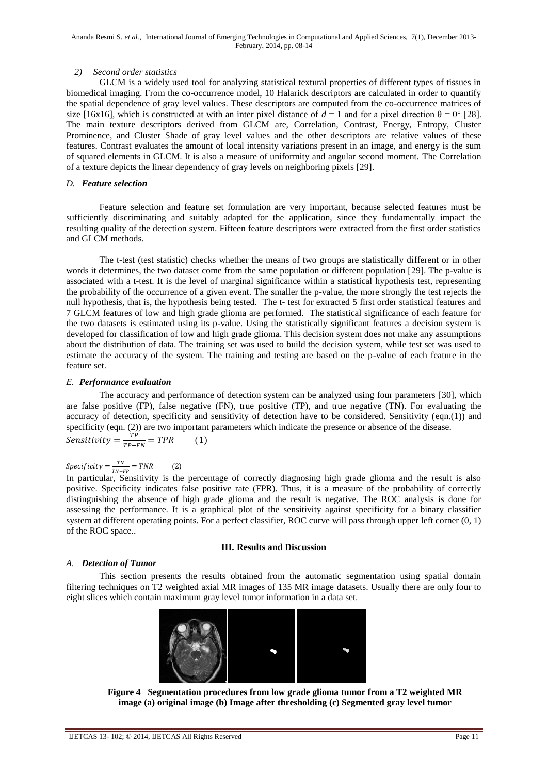### *2) Second order statistics*

GLCM is a widely used tool for analyzing statistical textural properties of different types of tissues in biomedical imaging. From the co-occurrence model, 10 Halarick descriptors are calculated in order to quantify the spatial dependence of gray level values. These descriptors are computed from the co-occurrence matrices of size [16x16], which is constructed at with an inter pixel distance of  $d = 1$  and for a pixel direction  $\theta = 0^{\circ}$  [28]. The main texture descriptors derived from GLCM are, Correlation, Contrast, Energy, Entropy, Cluster Prominence, and Cluster Shade of gray level values and the other descriptors are relative values of these features. Contrast evaluates the amount of local intensity variations present in an image, and energy is the sum of squared elements in GLCM. It is also a measure of uniformity and angular second moment. The Correlation of a texture depicts the linear dependency of gray levels on neighboring pixels [29].

### *D. Feature selection*

Feature selection and feature set formulation are very important, because selected features must be sufficiently discriminating and suitably adapted for the application, since they fundamentally impact the resulting quality of the detection system. Fifteen feature descriptors were extracted from the first order statistics and GLCM methods.

The t-test (test statistic) checks whether the means of two groups are statistically different or in other words it determines, the two dataset come from the same population or different population [29]. The p-value is associated with a t-test. It is the level of marginal significance within a statistical hypothesis test, representing the probability of the occurrence of a given event. The smaller the p-value, the more strongly the test rejects the null hypothesis, that is, the hypothesis being tested. The t- test for extracted 5 first order statistical features and 7 GLCM features of low and high grade glioma are performed. The statistical significance of each feature for the two datasets is estimated using its p-value. Using the statistically significant features a decision system is developed for classification of low and high grade glioma. This decision system does not make any assumptions about the distribution of data. The training set was used to build the decision system, while test set was used to estimate the accuracy of the system. The training and testing are based on the p-value of each feature in the feature set.

### *E. Performance evaluation*

The accuracy and performance of detection system can be analyzed using four parameters [30], which are false positive (FP), false negative (FN), true positive (TP), and true negative (TN). For evaluating the accuracy of detection, specificity and sensitivity of detection have to be considered. Sensitivity (eqn.(1)) and specificity (eqn. (2)) are two important parameters which indicate the presence or absence of the disease. Sensitivity  $=\frac{T}{T}$  $\frac{1}{TP+FN} =$ 

#### Specificity  $=\frac{T}{T}$  $(2)$  $\frac{1N}{TN+FP} =$

In particular, Sensitivity is the percentage of correctly diagnosing high grade glioma and the result is also positive. Specificity indicates false positive rate (FPR). Thus, it is a measure of the probability of correctly distinguishing the absence of high grade glioma and the result is negative. The ROC analysis is done for assessing the performance. It is a graphical plot of the sensitivity against specificity for a binary classifier system at different operating points. For a perfect classifier, ROC curve will pass through upper left corner  $(0, 1)$ of the ROC space..

### **III. Results and Discussion**

# *A. Detection of Tumor*

This section presents the results obtained from the automatic segmentation using spatial domain filtering techniques on T2 weighted axial MR images of 135 MR image datasets. Usually there are only four to eight slices which contain maximum gray level tumor information in a data set.



**Figure 4** Segmentation procedures from low grade glioma tumor from a T2 weighted MR **image (a) original image (b) Image after thresholding (c) Segmented gray level tumor**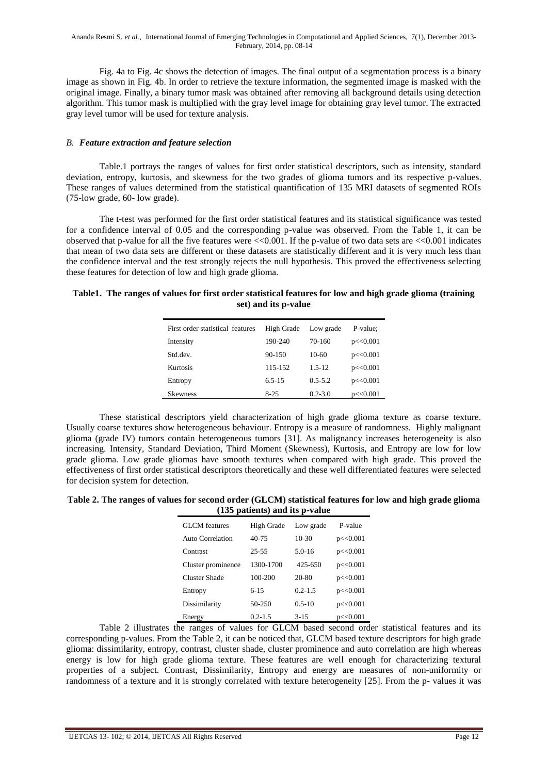Fig. 4a to Fig. 4c shows the detection of images. The final output of a segmentation process is a binary image as shown in Fig. 4b. In order to retrieve the texture information, the segmented image is masked with the original image. Finally, a binary tumor mask was obtained after removing all background details using detection algorithm. This tumor mask is multiplied with the gray level image for obtaining gray level tumor. The extracted gray level tumor will be used for texture analysis.

### *B. Feature extraction and feature selection*

Table.1 portrays the ranges of values for first order statistical descriptors, such as intensity, standard deviation, entropy, kurtosis, and skewness for the two grades of glioma tumors and its respective p-values. These ranges of values determined from the statistical quantification of 135 MRI datasets of segmented ROIs (75-low grade, 60- low grade).

The t-test was performed for the first order statistical features and its statistical significance was tested for a confidence interval of 0.05 and the corresponding p-value was observed. From the Table 1, it can be observed that p-value for all the five features were  $\langle \langle 0.001 \rangle$ . If the p-value of two data sets are  $\langle \langle 0.001 \rangle$  indicates that mean of two data sets are different or these datasets are statistically different and it is very much less than the confidence interval and the test strongly rejects the null hypothesis. This proved the effectiveness selecting these features for detection of low and high grade glioma.

### **Table1. The ranges of values for first order statistical features for low and high grade glioma (training set) and its p-value**

| First order statistical features | High Grade | Low grade   | P-value:  |
|----------------------------------|------------|-------------|-----------|
| Intensity                        | 190-240    | 70-160      | p < 0.001 |
| Std.dev.                         | 90-150     | $10-60$     | p < 0.001 |
| <b>Kurtosis</b>                  | 115-152    | $1.5 - 12$  | p < 0.001 |
| Entropy                          | $6.5 - 15$ | $0.5 - 5.2$ | p < 0.001 |
| <b>Skewness</b>                  | $8-25$     | $0.2 - 3.0$ | p < 0.001 |

These statistical descriptors yield characterization of high grade glioma texture as coarse texture. Usually coarse textures show heterogeneous behaviour. Entropy is a measure of randomness. Highly malignant glioma (grade IV) tumors contain heterogeneous tumors [31]. As malignancy increases heterogeneity is also increasing. Intensity, Standard Deviation, Third Moment (Skewness), Kurtosis, and Entropy are low for low grade glioma. Low grade gliomas have smooth textures when compared with high grade. This proved the effectiveness of first order statistical descriptors theoretically and these well differentiated features were selected for decision system for detection.

## **Table 2. The ranges of values for second order (GLCM) statistical features for low and high grade glioma (135 patients) and its p-value**

| <b>GLCM</b> features | High Grade  | Low grade   | P-value   |
|----------------------|-------------|-------------|-----------|
| Auto Correlation     | $40 - 75$   | $10-30$     | p < 0.001 |
| Contrast             | 25-55       | $5.0 - 16$  | p < 0.001 |
| Cluster prominence   | 1300-1700   | $425 - 650$ | p < 0.001 |
| Cluster Shade        | 100-200     | 20-80       | p < 0.001 |
| Entropy              | $6 - 15$    | $0.2 - 1.5$ | p < 0.001 |
| Dissimilarity        | $50 - 250$  | $0.5 - 10$  | p < 0.001 |
| Energy               | $0.2 - 1.5$ | $3 - 15$    | p < 0.001 |

Table 2 illustrates the ranges of values for GLCM based second order statistical features and its corresponding p-values. From the Table 2, it can be noticed that, GLCM based texture descriptors for high grade glioma: dissimilarity, entropy, contrast, cluster shade, cluster prominence and auto correlation are high whereas energy is low for high grade glioma texture. These features are well enough for characterizing textural properties of a subject. Contrast, Dissimilarity, Entropy and energy are measures of non-uniformity or randomness of a texture and it is strongly correlated with texture heterogeneity [25]. From the p- values it was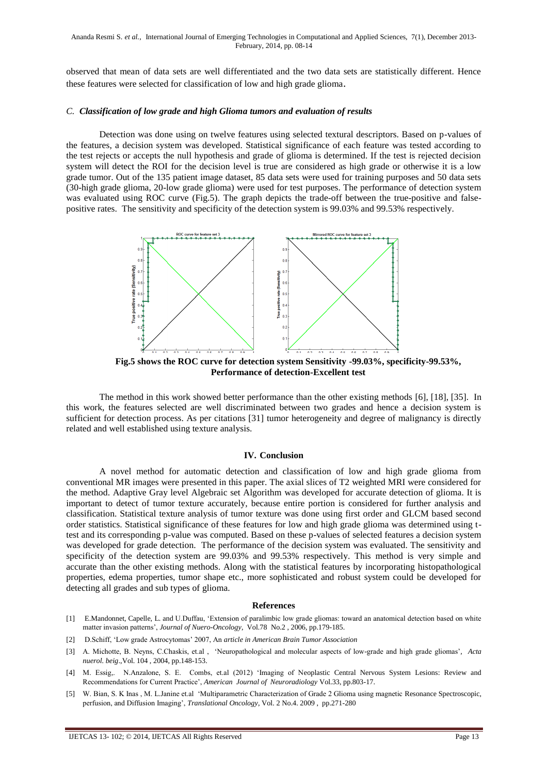observed that mean of data sets are well differentiated and the two data sets are statistically different. Hence these features were selected for classification of low and high grade glioma.

### *C. Classification of low grade and high Glioma tumors and evaluation of results*

Detection was done using on twelve features using selected textural descriptors. Based on p-values of the features, a decision system was developed. Statistical significance of each feature was tested according to the test rejects or accepts the null hypothesis and grade of glioma is determined. If the test is rejected decision system will detect the ROI for the decision level is true are considered as high grade or otherwise it is a low grade tumor. Out of the 135 patient image dataset, 85 data sets were used for training purposes and 50 data sets (30-high grade glioma, 20-low grade glioma) were used for test purposes. The performance of detection system was evaluated using ROC curve (Fig.5). The graph depicts the trade-off between the true-positive and falsepositive rates. The sensitivity and specificity of the detection system is 99.03% and 99.53% respectively.



**Fig.5 shows the ROC curve for detection system Sensitivity -99.03%, specificity-99.53%, Performance of detection-Excellent test**

The method in this work showed better performance than the other existing methods [6], [18], [35]. In this work, the features selected are well discriminated between two grades and hence a decision system is sufficient for detection process. As per citations [31] tumor heterogeneity and degree of malignancy is directly related and well established using texture analysis.

### **IV. Conclusion**

A novel method for automatic detection and classification of low and high grade glioma from conventional MR images were presented in this paper. The axial slices of T2 weighted MRI were considered for the method. Adaptive Gray level Algebraic set Algorithm was developed for accurate detection of glioma. It is important to detect of tumor texture accurately, because entire portion is considered for further analysis and classification. Statistical texture analysis of tumor texture was done using first order and GLCM based second order statistics. Statistical significance of these features for low and high grade glioma was determined using ttest and its corresponding p-value was computed. Based on these p-values of selected features a decision system was developed for grade detection. The performance of the decision system was evaluated. The sensitivity and specificity of the detection system are 99.03% and 99.53% respectively. This method is very simple and accurate than the other existing methods. Along with the statistical features by incorporating histopathological properties, edema properties, tumor shape etc., more sophisticated and robust system could be developed for detecting all grades and sub types of glioma.

### **References**

- [1] E.Mandonnet, Capelle, L. and U.Duffau, 'Extension of paralimbic low grade gliomas: toward an anatomical detection based on white matter invasion patterns', *Journal of Nuero-Oncology*, Vol.78 No.2 , 2006, pp.179-185.
- [2] D.Schiff, 'Low grade Astrocytomas' 2007, An *article in American Brain Tumor Association*
- [3] A. Michotte, B. Neyns, C.Chaskis, et.al , 'Neuropathological and molecular aspects of low-grade and high grade gliomas'*, Acta nuerol. beig*.,Vol. 104 , 2004, pp.148-153.
- [4] M. Essig,. N.Anzalone, S. E. Combs, et.al (2012) 'Imaging of Neoplastic Central Nervous System Lesions: Review and Recommendations for Current Practice', *American Journal of Neuroradiology* Vol.33, pp.803-17.
- [5] W. Bian, S. K Inas , M. L.Janine et.al 'Multiparametric Characterization of Grade 2 Glioma using magnetic Resonance Spectroscopic, perfusion, and Diffusion Imaging', *Translational Oncology*, Vol. 2 No.4. 2009 , pp.271-280